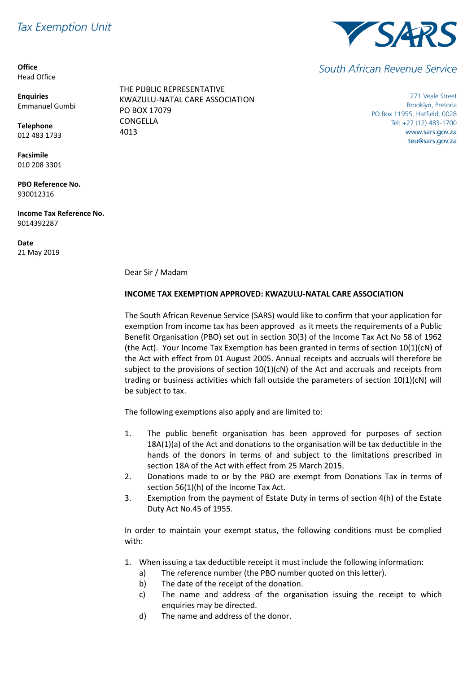## **Tax Exemption Unit**

**Office** Head Office

**Enquiries** Emmanuel Gumbi

**Telephone** 012 483 1733

**Facsimile** 010 208 3301

**PBO Reference No.** 930012316

**Income Tax Reference No.** 9014392287

**Date** 21 May 2019





South African Revenue Service

271 Veale Street Brooklyn, Pretoria PO Box 11955, Hatfield, 0028 Tel: +27 (12) 483-1700 www.sars.gov.za teu@sars.gov.za

Dear Sir / Madam

## **INCOME TAX EXEMPTION APPROVED: KWAZULU-NATAL CARE ASSOCIATION**

The South African Revenue Service (SARS) would like to confirm that your application for exemption from income tax has been approved as it meets the requirements of a Public Benefit Organisation (PBO) set out in section 30(3) of the Income Tax Act No 58 of 1962 (the Act). Your Income Tax Exemption has been granted in terms of section 10(1)(cN) of the Act with effect from 01 August 2005. Annual receipts and accruals will therefore be subject to the provisions of section  $10(1)(cN)$  of the Act and accruals and receipts from trading or business activities which fall outside the parameters of section 10(1)(cN) will be subject to tax.

The following exemptions also apply and are limited to:

- 1. The public benefit organisation has been approved for purposes of section 18A(1)(a) of the Act and donations to the organisation will be tax deductible in the hands of the donors in terms of and subject to the limitations prescribed in section 18A of the Act with effect from 25 March 2015.
- 2. Donations made to or by the PBO are exempt from Donations Tax in terms of section 56(1)(h) of the Income Tax Act.
- 3. Exemption from the payment of Estate Duty in terms of section 4(h) of the Estate Duty Act No.45 of 1955.

In order to maintain your exempt status, the following conditions must be complied with:

- 1. When issuing a tax deductible receipt it must include the following information:
	- a) The reference number (the PBO number quoted on this letter).
	- b) The date of the receipt of the donation.
	- c) The name and address of the organisation issuing the receipt to which enquiries may be directed.
	- d) The name and address of the donor.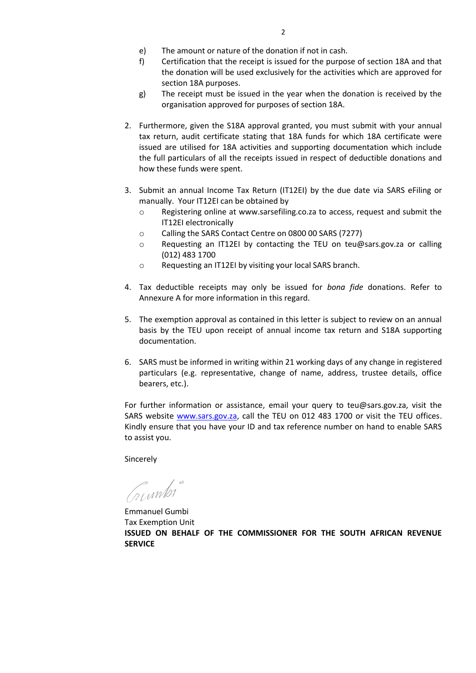- 
- e) The amount or nature of the donation if not in cash.<br>
f) Certification that the receipt is issued for the purpos f) Certification that the receipt is issued for the purpose of section 18A and that the donation will be used exclusively for the activities which are approved for section 18A purposes.
- g) The receipt must be issued in the year when the donation is received by the organisation approved for purposes of section 18A.
- 2. Furthermore, given the S18A approval granted, you must submit with your annual tax return, audit certificate stating that 18A funds for which 18A certificate were issued are utilised for 18A activities and supporting documentation which include the full particulars of all the receipts issued in respect of deductible donations and how these funds were spent.
- 3. Submit an annual Income Tax Return (IT12EI) by the due date via SARS eFiling or manually. Your IT12EI can be obtained by
	- o Registering online at www.sarsefiling.co.za to access, request and submit the IT12EI electronically
	- o Calling the SARS Contact Centre on 0800 00 SARS (7277)
	- o Requesting an IT12EI by contacting the TEU on teu@sars.gov.za or calling (012) 483 1700
	- o Requesting an IT12EI by visiting your local SARS branch.
- 4. Tax deductible receipts may only be issued for *bona fide* donations. Refer to Annexure A for more information in this regard.
- 5. The exemption approval as contained in this letter is subject to review on an annual basis by the TEU upon receipt of annual income tax return and S18A supporting documentation.
- 6. SARS must be informed in writing within 21 working days of any change in registered particulars (e.g. representative, change of name, address, trustee details, office bearers, etc.).

For further information or assistance, email your query to teu@sars.gov.za, visit the SARS website [www.sars.gov.za,](http://www.sars.gov.za/) call the TEU on 012 483 1700 or visit the TEU offices. Kindly ensure that you have your ID and tax reference number on hand to enable SARS to assist you.

Sincerely

Crumbi

Emmanuel Gumbi Tax Exemption Unit **ISSUED ON BEHALF OF THE COMMISSIONER FOR THE SOUTH AFRICAN REVENUE SERVICE**